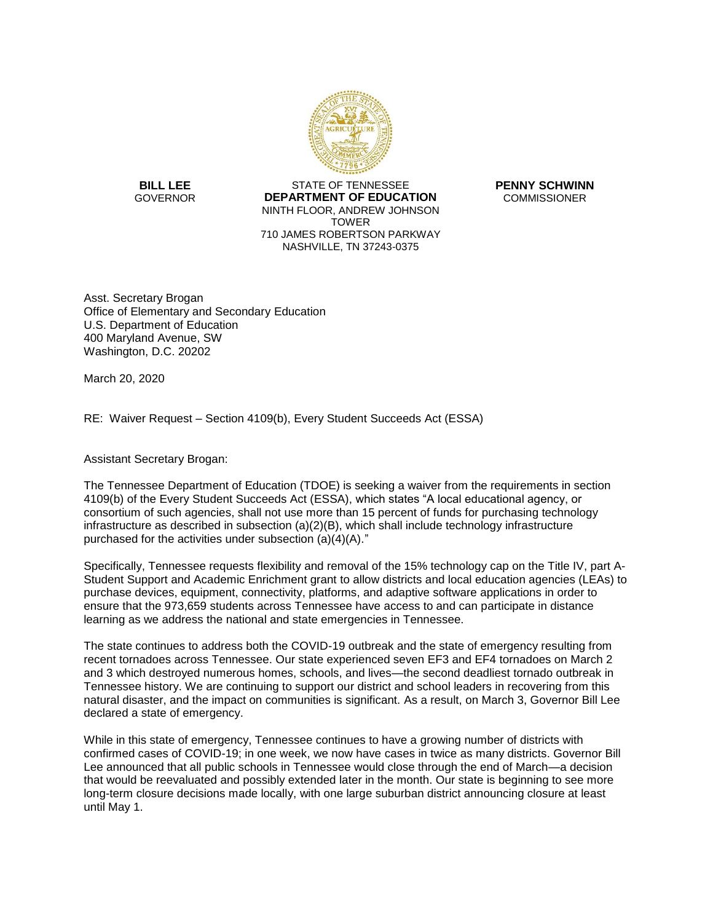

**BILL LEE** STATE OF TENNESSEE **PENNY SCHWINN DEPARTMENT OF EDUCATION COMMISSIONER** NINTH FLOOR, ANDREW JOHNSON TOWER 710 JAMES ROBERTSON PARKWAY NASHVILLE, TN 37243-0375

 Asst. Secretary Brogan Office of Elementary and Secondary Education U.S. Department of Education 400 Maryland Avenue, SW Washington, D.C. 20202

March 20, 2020

RE: Waiver Request – Section 4109(b), Every Student Succeeds Act (ESSA)

Assistant Secretary Brogan:

 4109(b) of the Every Student Succeeds Act (ESSA), which states "A local educational agency, or The Tennessee Department of Education (TDOE) is seeking a waiver from the requirements in section consortium of such agencies, shall not use more than 15 percent of funds for purchasing technology infrastructure as described in subsection (a)(2)(B), which shall include technology infrastructure purchased for the activities under subsection (a)(4)(A)."

 Specifically, Tennessee requests flexibility and removal of the 15% technology cap on the Title IV, part A- Student Support and Academic Enrichment grant to allow districts and local education agencies (LEAs) to purchase devices, equipment, connectivity, platforms, and adaptive software applications in order to ensure that the 973,659 students across Tennessee have access to and can participate in distance learning as we address the national and state emergencies in Tennessee.

The state continues to address both the COVID-19 outbreak and the state of emergency resulting from recent tornadoes across Tennessee. Our state experienced seven EF3 and EF4 tornadoes on March 2 and 3 which destroyed numerous homes, schools, and lives—the second deadliest tornado outbreak in Tennessee history. We are continuing to support our district and school leaders in recovering from this natural disaster, and the impact on communities is significant. As a result, on March 3, Governor Bill Lee declared a state of emergency.

 While in this state of emergency, Tennessee continues to have a growing number of districts with long-term closure decisions made locally, with one large suburban district announcing closure at least until May 1. confirmed cases of COVID-19; in one week, we now have cases in twice as many districts. Governor Bill Lee announced that all public schools in Tennessee would close through the end of March—a decision that would be reevaluated and possibly extended later in the month. Our state is beginning to see more